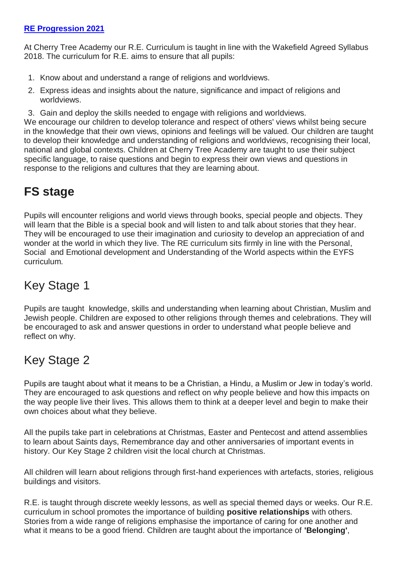## **RE [Progression](https://www.cherrytreeacademy.org.uk/userfiles/files/documents/93ddeae30b14b307cde3d2df35315f36.pdf) 2021**

At Cherry Tree Academy our R.E. Curriculum is taught in line with the Wakefield Agreed Syllabus 2018. The curriculum for R.E. aims to ensure that all pupils:

- 1. Know about and understand a range of religions and worldviews.
- 2. Express ideas and insights about the nature, significance and impact of religions and worldviews.
- 3. Gain and deploy the skills needed to engage with religions and worldviews.

We encourage our children to develop tolerance and respect of others' views whilst being secure in the knowledge that their own views, opinions and feelings will be valued. Our children are taught to develop their knowledge and understanding of religions and worldviews, recognising their local, national and global contexts. Children at Cherry Tree Academy are taught to use their subject specific language, to raise questions and begin to express their own views and questions in response to the religions and cultures that they are learning about.

## **FS stage**

Pupils will encounter religions and world views through books, special people and objects. They will learn that the Bible is a special book and will listen to and talk about stories that they hear. They will be encouraged to use their imagination and curiosity to develop an appreciation of and wonder at the world in which they live. The RE curriculum sits firmly in line with the Personal, Social and Emotional development and Understanding of the World aspects within the EYFS curriculum.

## Key Stage 1

Pupils are taught knowledge, skills and understanding when learning about Christian, Muslim and Jewish people. Children are exposed to other religions through themes and celebrations. They will be encouraged to ask and answer questions in order to understand what people believe and reflect on why.

## Key Stage 2

Pupils are taught about what it means to be a Christian, a Hindu, a Muslim or Jew in today's world. They are encouraged to ask questions and reflect on why people believe and how this impacts on the way people live their lives. This allows them to think at a deeper level and begin to make their own choices about what they believe.

All the pupils take part in celebrations at Christmas, Easter and Pentecost and attend assemblies to learn about Saints days, Remembrance day and other anniversaries of important events in history. Our Key Stage 2 children visit the local church at Christmas.

All children will learn about religions through first-hand experiences with artefacts, stories, religious buildings and visitors.

R.E. is taught through discrete weekly lessons, as well as special themed days or weeks. Our R.E. curriculum in school promotes the importance of building **positive relationships** with others. Stories from a wide range of religions emphasise the importance of caring for one another and what it means to be a good friend. Children are taught about the importance of **'Belonging'**,